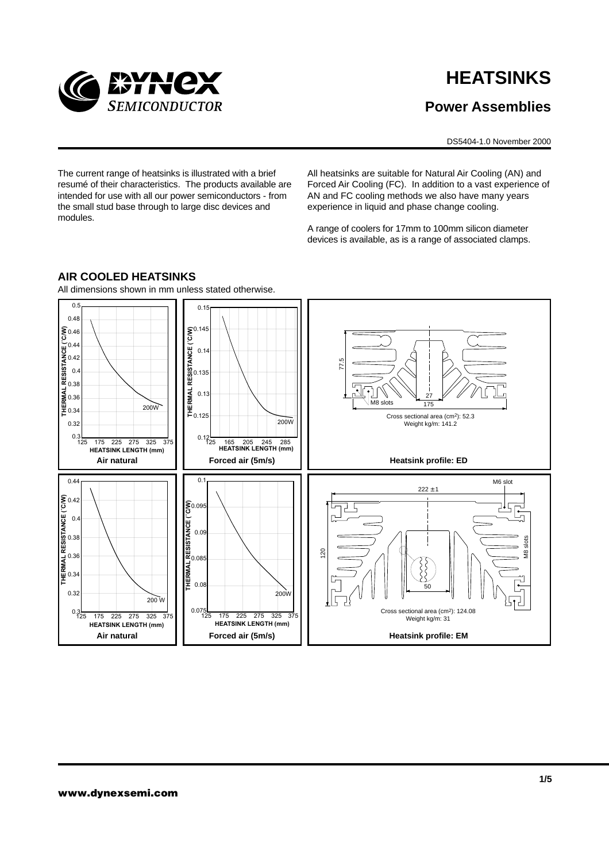

# **HEATSINKS**

# **Power Assemblies**

DS5404-1.0 November 2000

The current range of heatsinks is illustrated with a brief resumé of their characteristics. The products available are intended for use with all our power semiconductors - from the small stud base through to large disc devices and modules.

All heatsinks are suitable for Natural Air Cooling (AN) and Forced Air Cooling (FC). In addition to a vast experience of AN and FC cooling methods we also have many years experience in liquid and phase change cooling.

A range of coolers for 17mm to 100mm silicon diameter devices is available, as is a range of associated clamps.



## **AIR COOLED HEATSINKS**

All dimensions shown in mm unless stated otherwise.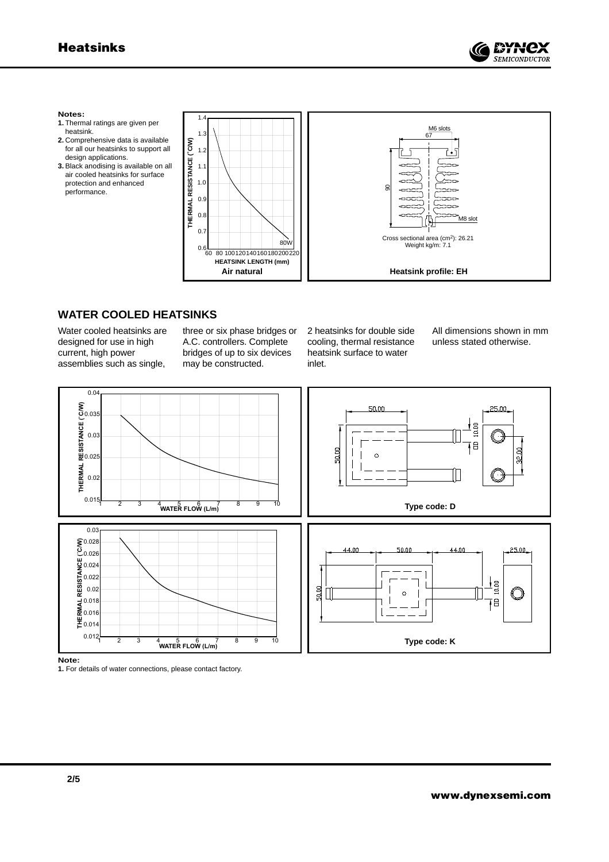

#### **Notes:**

- **1.** Thermal ratings are given per heatsink.
- **2.** Comprehensive data is available for all our heatsinks to support all design applications.
- **3.** Black anodising is available on all air cooled heatsinks for surface protection and enhanced performance.



## **WATER COOLED HEATSINKS**

Water cooled heatsinks are designed for use in high current, high power assemblies such as single,

three or six phase bridges or A.C. controllers. Complete bridges of up to six devices may be constructed.

2 heatsinks for double side cooling, thermal resistance heatsink surface to water inlet.

All dimensions shown in mm unless stated otherwise.



**Note:**

**1.** For details of water connections, please contact factory.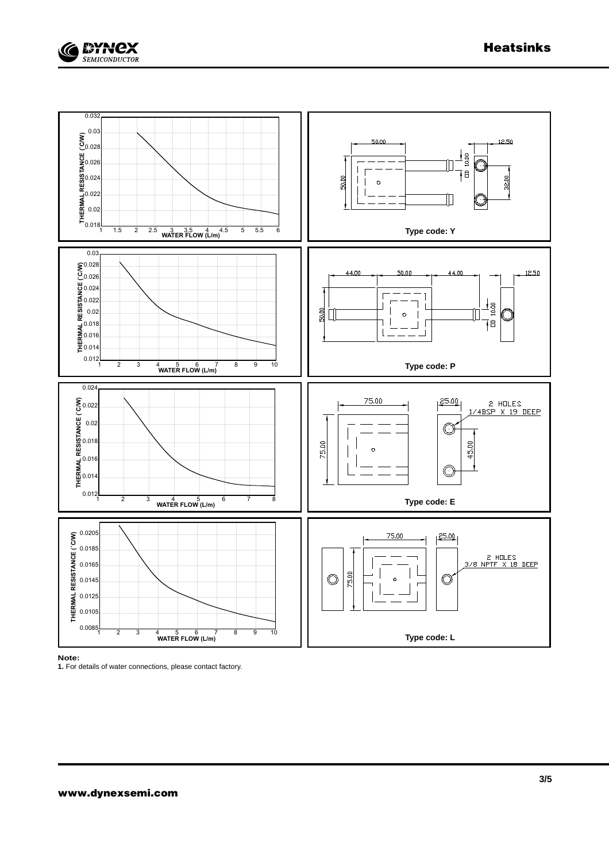





**Note:**

**1.** For details of water connections, please contact factory.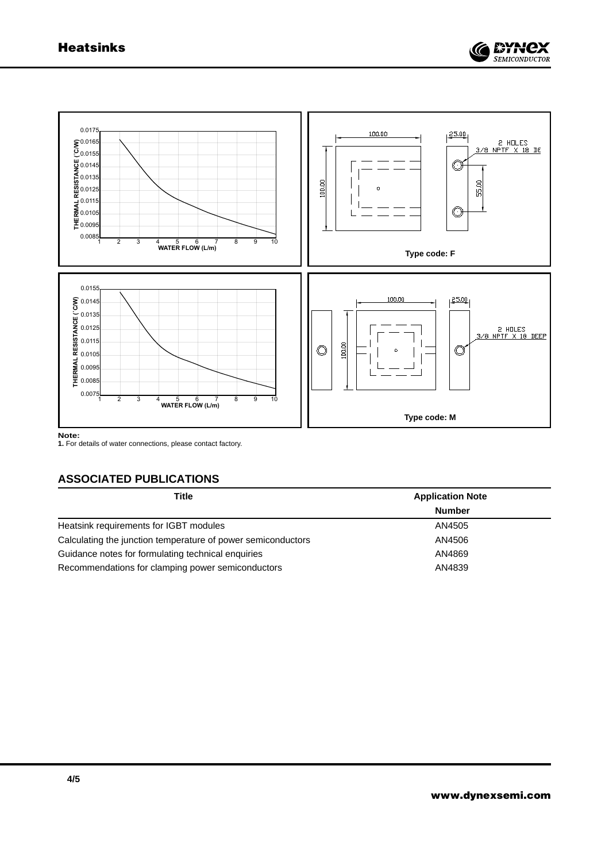



**Note:**

**1.** For details of water connections, please contact factory.

## **ASSOCIATED PUBLICATIONS**

| <b>Title</b>                                                 | <b>Application Note</b> |
|--------------------------------------------------------------|-------------------------|
|                                                              | <b>Number</b>           |
| Heatsink requirements for IGBT modules                       | AN4505                  |
| Calculating the junction temperature of power semiconductors | AN4506                  |
| Guidance notes for formulating technical enquiries           | AN4869                  |
| Recommendations for clamping power semiconductors            | AN4839                  |